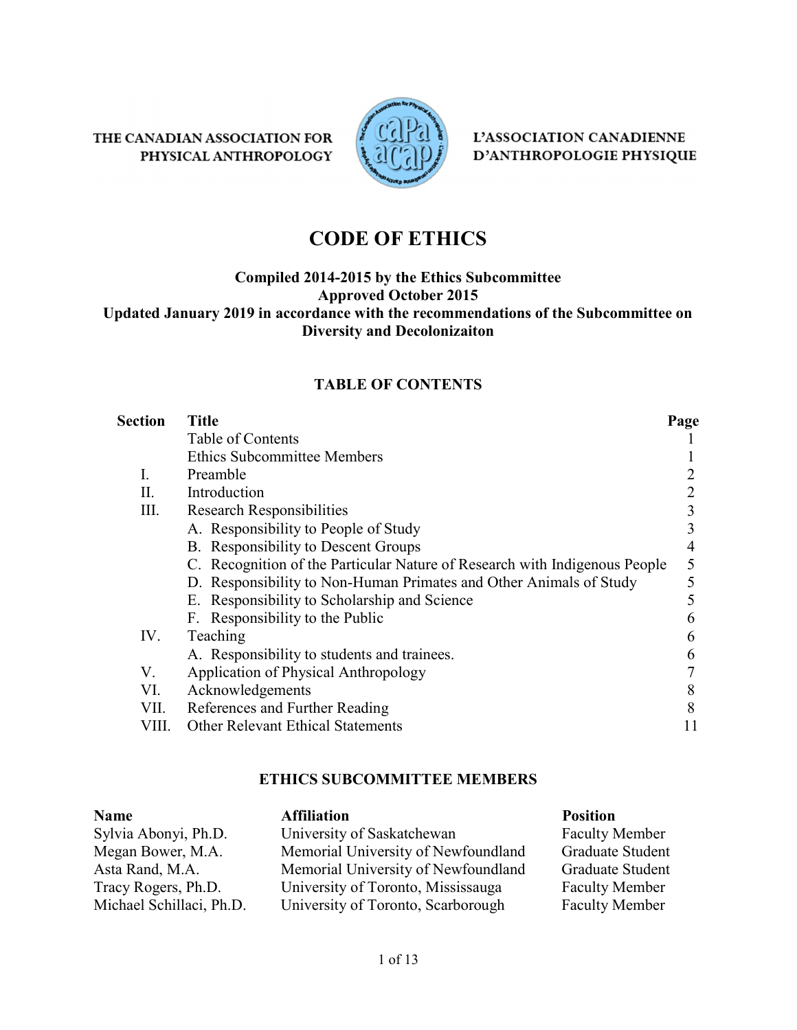THE CANADIAN ASSOCIATION FOR PHYSICAL ANTHROPOLOGY



L'ASSOCIATION CANADIENNE D'ANTHROPOLOGIE PHYSIQUE

# CODE OF ETHICS

#### Compiled 2014-2015 by the Ethics Subcommittee Approved October 2015 Updated January 2019 in accordance with the recommendations of the Subcommittee on Diversity and Decolonizaiton

#### TABLE OF CONTENTS

| <b>Section</b> | <b>Title</b>                                                               | Page |
|----------------|----------------------------------------------------------------------------|------|
|                | Table of Contents                                                          |      |
|                | <b>Ethics Subcommittee Members</b>                                         |      |
| I.             | Preamble                                                                   |      |
| Π.             | Introduction                                                               |      |
| III.           | <b>Research Responsibilities</b>                                           |      |
|                | A. Responsibility to People of Study                                       |      |
|                | B. Responsibility to Descent Groups                                        | 4    |
|                | C. Recognition of the Particular Nature of Research with Indigenous People | 5    |
|                | D. Responsibility to Non-Human Primates and Other Animals of Study         |      |
|                | E. Responsibility to Scholarship and Science                               |      |
|                | F. Responsibility to the Public                                            | n    |
| IV.            | Teaching                                                                   | b    |
|                | A. Responsibility to students and trainees.                                | b    |
| V.             | Application of Physical Anthropology                                       |      |
| VI.            | Acknowledgements                                                           | 8    |
| VII.           | References and Further Reading                                             | 8    |
| VIII.          | <b>Other Relevant Ethical Statements</b>                                   |      |

#### ETHICS SUBCOMMITTEE MEMBERS

#### Name Affiliation Affiliation Position Sylvia Abonyi, Ph.D. University of Saskatchewan Faculty Member Megan Bower, M.A. Memorial University of Newfoundland Graduate Student Asta Rand, M.A. Memorial University of Newfoundland Graduate Student Tracy Rogers, Ph.D. University of Toronto, Mississauga Faculty Member Michael Schillaci, Ph.D. University of Toronto, Scarborough Faculty Member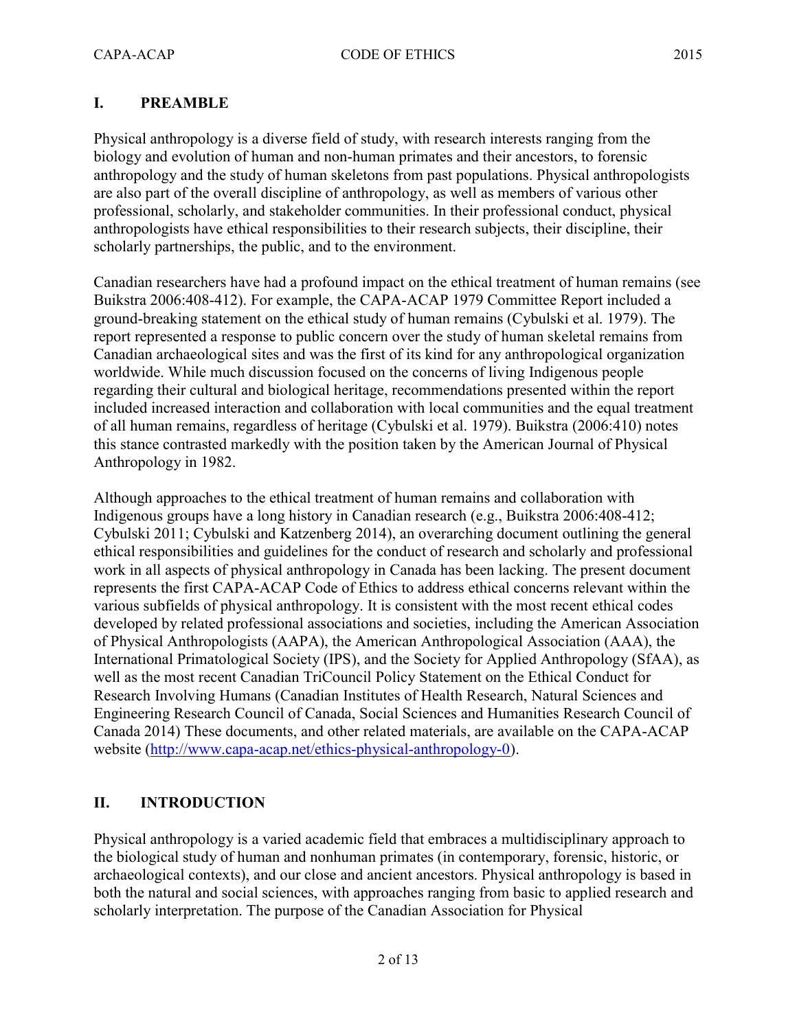#### I. PREAMBLE

Physical anthropology is a diverse field of study, with research interests ranging from the biology and evolution of human and non-human primates and their ancestors, to forensic anthropology and the study of human skeletons from past populations. Physical anthropologists are also part of the overall discipline of anthropology, as well as members of various other professional, scholarly, and stakeholder communities. In their professional conduct, physical anthropologists have ethical responsibilities to their research subjects, their discipline, their scholarly partnerships, the public, and to the environment.

Canadian researchers have had a profound impact on the ethical treatment of human remains (see Buikstra 2006:408-412). For example, the CAPA-ACAP 1979 Committee Report included a ground-breaking statement on the ethical study of human remains (Cybulski et al. 1979). The report represented a response to public concern over the study of human skeletal remains from Canadian archaeological sites and was the first of its kind for any anthropological organization worldwide. While much discussion focused on the concerns of living Indigenous people regarding their cultural and biological heritage, recommendations presented within the report included increased interaction and collaboration with local communities and the equal treatment of all human remains, regardless of heritage (Cybulski et al. 1979). Buikstra (2006:410) notes this stance contrasted markedly with the position taken by the American Journal of Physical Anthropology in 1982.

Although approaches to the ethical treatment of human remains and collaboration with Indigenous groups have a long history in Canadian research (e.g., Buikstra 2006:408-412; Cybulski 2011; Cybulski and Katzenberg 2014), an overarching document outlining the general ethical responsibilities and guidelines for the conduct of research and scholarly and professional work in all aspects of physical anthropology in Canada has been lacking. The present document represents the first CAPA-ACAP Code of Ethics to address ethical concerns relevant within the various subfields of physical anthropology. It is consistent with the most recent ethical codes developed by related professional associations and societies, including the American Association of Physical Anthropologists (AAPA), the American Anthropological Association (AAA), the International Primatological Society (IPS), and the Society for Applied Anthropology (SfAA), as well as the most recent Canadian TriCouncil Policy Statement on the Ethical Conduct for Research Involving Humans (Canadian Institutes of Health Research, Natural Sciences and Engineering Research Council of Canada, Social Sciences and Humanities Research Council of Canada 2014) These documents, and other related materials, are available on the CAPA-ACAP website (http://www.capa-acap.net/ethics-physical-anthropology-0).

#### II. INTRODUCTION

Physical anthropology is a varied academic field that embraces a multidisciplinary approach to the biological study of human and nonhuman primates (in contemporary, forensic, historic, or archaeological contexts), and our close and ancient ancestors. Physical anthropology is based in both the natural and social sciences, with approaches ranging from basic to applied research and scholarly interpretation. The purpose of the Canadian Association for Physical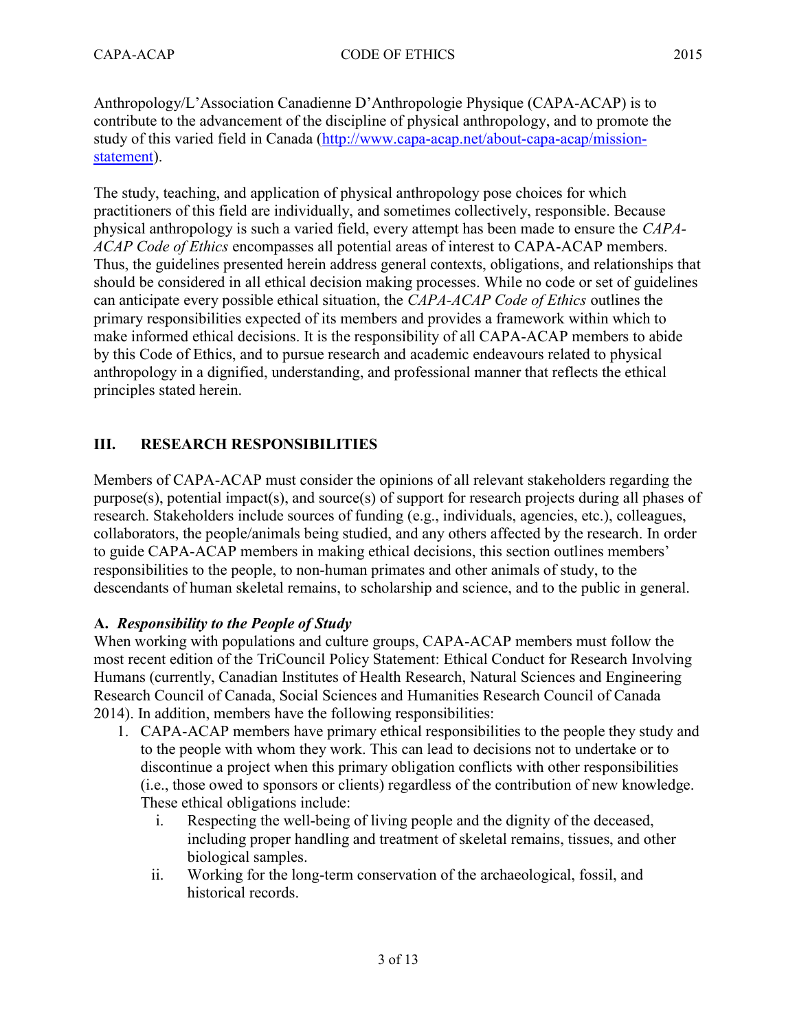Anthropology/L'Association Canadienne D'Anthropologie Physique (CAPA-ACAP) is to contribute to the advancement of the discipline of physical anthropology, and to promote the study of this varied field in Canada (http://www.capa-acap.net/about-capa-acap/missionstatement).

The study, teaching, and application of physical anthropology pose choices for which practitioners of this field are individually, and sometimes collectively, responsible. Because physical anthropology is such a varied field, every attempt has been made to ensure the CAPA-ACAP Code of Ethics encompasses all potential areas of interest to CAPA-ACAP members. Thus, the guidelines presented herein address general contexts, obligations, and relationships that should be considered in all ethical decision making processes. While no code or set of guidelines can anticipate every possible ethical situation, the CAPA-ACAP Code of Ethics outlines the primary responsibilities expected of its members and provides a framework within which to make informed ethical decisions. It is the responsibility of all CAPA-ACAP members to abide by this Code of Ethics, and to pursue research and academic endeavours related to physical anthropology in a dignified, understanding, and professional manner that reflects the ethical principles stated herein.

## III. RESEARCH RESPONSIBILITIES

Members of CAPA-ACAP must consider the opinions of all relevant stakeholders regarding the purpose(s), potential impact(s), and source(s) of support for research projects during all phases of research. Stakeholders include sources of funding (e.g., individuals, agencies, etc.), colleagues, collaborators, the people/animals being studied, and any others affected by the research. In order to guide CAPA-ACAP members in making ethical decisions, this section outlines members' responsibilities to the people, to non-human primates and other animals of study, to the descendants of human skeletal remains, to scholarship and science, and to the public in general.

#### A. Responsibility to the People of Study

When working with populations and culture groups, CAPA-ACAP members must follow the most recent edition of the TriCouncil Policy Statement: Ethical Conduct for Research Involving Humans (currently, Canadian Institutes of Health Research, Natural Sciences and Engineering Research Council of Canada, Social Sciences and Humanities Research Council of Canada 2014). In addition, members have the following responsibilities:

- 1. CAPA-ACAP members have primary ethical responsibilities to the people they study and to the people with whom they work. This can lead to decisions not to undertake or to discontinue a project when this primary obligation conflicts with other responsibilities (i.e., those owed to sponsors or clients) regardless of the contribution of new knowledge. These ethical obligations include:
	- i. Respecting the well-being of living people and the dignity of the deceased, including proper handling and treatment of skeletal remains, tissues, and other biological samples.
	- ii. Working for the long-term conservation of the archaeological, fossil, and historical records.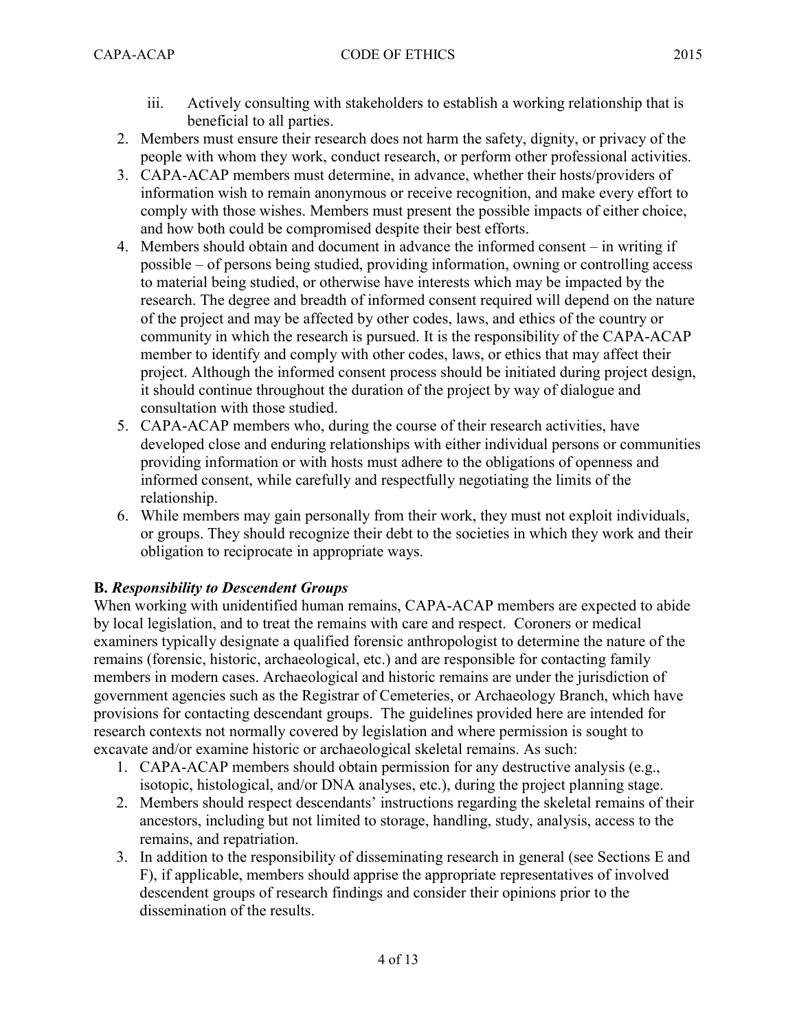- iii. Actively consulting with stakeholders to establish a working relationship that is beneficial to all parties.
- 2. Members must ensure their research does not harm the safety, dignity, or privacy of the people with whom they work, conduct research, or perform other professional activities.
- 3. CAPA-ACAP members must determine, in advance, whether their hosts/providers of information wish to remain anonymous or receive recognition, and make every effort to comply with those wishes. Members must present the possible impacts of either choice, and how both could be compromised despite their best efforts.
- 4. Members should obtain and document in advance the informed consent in writing if possible – of persons being studied, providing information, owning or controlling access to material being studied, or otherwise have interests which may be impacted by the research. The degree and breadth of informed consent required will depend on the nature of the project and may be affected by other codes, laws, and ethics of the country or community in which the research is pursued. It is the responsibility of the CAPA-ACAP member to identify and comply with other codes, laws, or ethics that may affect their project. Although the informed consent process should be initiated during project design, it should continue throughout the duration of the project by way of dialogue and consultation with those studied.
- 5. CAPA-ACAP members who, during the course of their research activities, have developed close and enduring relationships with either individual persons or communities providing information or with hosts must adhere to the obligations of openness and informed consent, while carefully and respectfully negotiating the limits of the relationship.
- 6. While members may gain personally from their work, they must not exploit individuals, or groups. They should recognize their debt to the societies in which they work and their obligation to reciprocate in appropriate ways.

## B. Responsibility to Descendent Groups

When working with unidentified human remains, CAPA-ACAP members are expected to abide by local legislation, and to treat the remains with care and respect. Coroners or medical examiners typically designate a qualified forensic anthropologist to determine the nature of the remains (forensic, historic, archaeological, etc.) and are responsible for contacting family members in modern cases. Archaeological and historic remains are under the jurisdiction of government agencies such as the Registrar of Cemeteries, or Archaeology Branch, which have provisions for contacting descendant groups. The guidelines provided here are intended for research contexts not normally covered by legislation and where permission is sought to excavate and/or examine historic or archaeological skeletal remains. As such:

- 1. CAPA-ACAP members should obtain permission for any destructive analysis (e.g., isotopic, histological, and/or DNA analyses, etc.), during the project planning stage.
- 2. Members should respect descendants' instructions regarding the skeletal remains of their ancestors, including but not limited to storage, handling, study, analysis, access to the remains, and repatriation.
- 3. In addition to the responsibility of disseminating research in general (see Sections E and F), if applicable, members should apprise the appropriate representatives of involved descendent groups of research findings and consider their opinions prior to the dissemination of the results.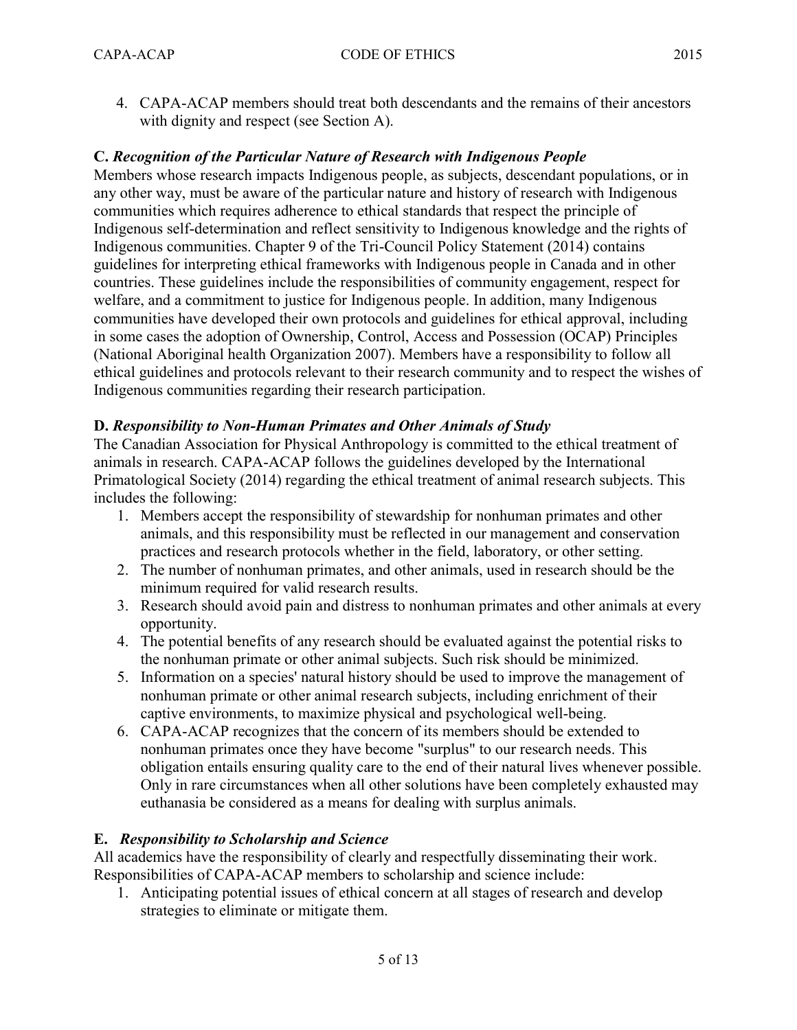4. CAPA-ACAP members should treat both descendants and the remains of their ancestors with dignity and respect (see Section A).

#### C. Recognition of the Particular Nature of Research with Indigenous People

Members whose research impacts Indigenous people, as subjects, descendant populations, or in any other way, must be aware of the particular nature and history of research with Indigenous communities which requires adherence to ethical standards that respect the principle of Indigenous self-determination and reflect sensitivity to Indigenous knowledge and the rights of Indigenous communities. Chapter 9 of the Tri-Council Policy Statement (2014) contains guidelines for interpreting ethical frameworks with Indigenous people in Canada and in other countries. These guidelines include the responsibilities of community engagement, respect for welfare, and a commitment to justice for Indigenous people. In addition, many Indigenous communities have developed their own protocols and guidelines for ethical approval, including in some cases the adoption of Ownership, Control, Access and Possession (OCAP) Principles (National Aboriginal health Organization 2007). Members have a responsibility to follow all ethical guidelines and protocols relevant to their research community and to respect the wishes of Indigenous communities regarding their research participation.

#### D. Responsibility to Non-Human Primates and Other Animals of Study

The Canadian Association for Physical Anthropology is committed to the ethical treatment of animals in research. CAPA-ACAP follows the guidelines developed by the International Primatological Society (2014) regarding the ethical treatment of animal research subjects. This includes the following:

- 1. Members accept the responsibility of stewardship for nonhuman primates and other animals, and this responsibility must be reflected in our management and conservation practices and research protocols whether in the field, laboratory, or other setting.
- 2. The number of nonhuman primates, and other animals, used in research should be the minimum required for valid research results.
- 3. Research should avoid pain and distress to nonhuman primates and other animals at every opportunity.
- 4. The potential benefits of any research should be evaluated against the potential risks to the nonhuman primate or other animal subjects. Such risk should be minimized.
- 5. Information on a species' natural history should be used to improve the management of nonhuman primate or other animal research subjects, including enrichment of their captive environments, to maximize physical and psychological well-being.
- 6. CAPA-ACAP recognizes that the concern of its members should be extended to nonhuman primates once they have become "surplus" to our research needs. This obligation entails ensuring quality care to the end of their natural lives whenever possible. Only in rare circumstances when all other solutions have been completely exhausted may euthanasia be considered as a means for dealing with surplus animals.

#### E. Responsibility to Scholarship and Science

All academics have the responsibility of clearly and respectfully disseminating their work. Responsibilities of CAPA-ACAP members to scholarship and science include:

1. Anticipating potential issues of ethical concern at all stages of research and develop strategies to eliminate or mitigate them.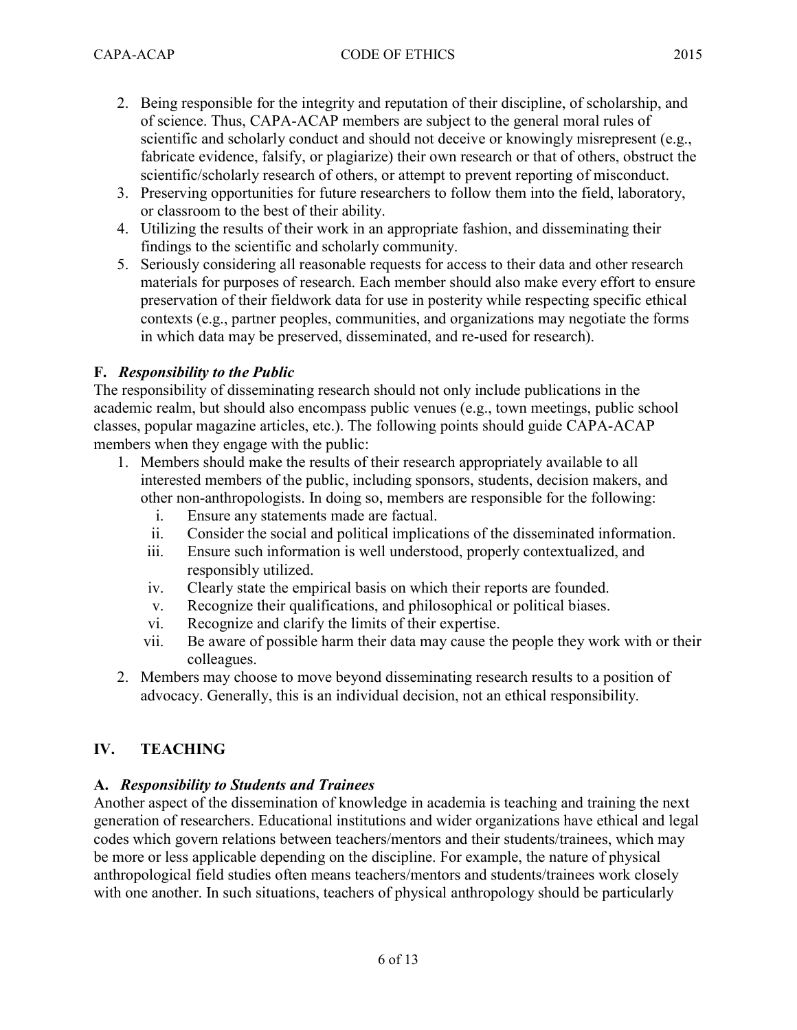- 2. Being responsible for the integrity and reputation of their discipline, of scholarship, and of science. Thus, CAPA-ACAP members are subject to the general moral rules of scientific and scholarly conduct and should not deceive or knowingly misrepresent (e.g., fabricate evidence, falsify, or plagiarize) their own research or that of others, obstruct the scientific/scholarly research of others, or attempt to prevent reporting of misconduct.
- 3. Preserving opportunities for future researchers to follow them into the field, laboratory, or classroom to the best of their ability.
- 4. Utilizing the results of their work in an appropriate fashion, and disseminating their findings to the scientific and scholarly community.
- 5. Seriously considering all reasonable requests for access to their data and other research materials for purposes of research. Each member should also make every effort to ensure preservation of their fieldwork data for use in posterity while respecting specific ethical contexts (e.g., partner peoples, communities, and organizations may negotiate the forms in which data may be preserved, disseminated, and re-used for research).

## F. Responsibility to the Public

The responsibility of disseminating research should not only include publications in the academic realm, but should also encompass public venues (e.g., town meetings, public school classes, popular magazine articles, etc.). The following points should guide CAPA-ACAP members when they engage with the public:

- 1. Members should make the results of their research appropriately available to all interested members of the public, including sponsors, students, decision makers, and other non-anthropologists. In doing so, members are responsible for the following:
	- i. Ensure any statements made are factual.
	- ii. Consider the social and political implications of the disseminated information.
	- iii. Ensure such information is well understood, properly contextualized, and responsibly utilized.
	- iv. Clearly state the empirical basis on which their reports are founded.
	- v. Recognize their qualifications, and philosophical or political biases.
	- vi. Recognize and clarify the limits of their expertise.
	- vii. Be aware of possible harm their data may cause the people they work with or their colleagues.
- 2. Members may choose to move beyond disseminating research results to a position of advocacy. Generally, this is an individual decision, not an ethical responsibility.

## IV. TEACHING

#### A. Responsibility to Students and Trainees

Another aspect of the dissemination of knowledge in academia is teaching and training the next generation of researchers. Educational institutions and wider organizations have ethical and legal codes which govern relations between teachers/mentors and their students/trainees, which may be more or less applicable depending on the discipline. For example, the nature of physical anthropological field studies often means teachers/mentors and students/trainees work closely with one another. In such situations, teachers of physical anthropology should be particularly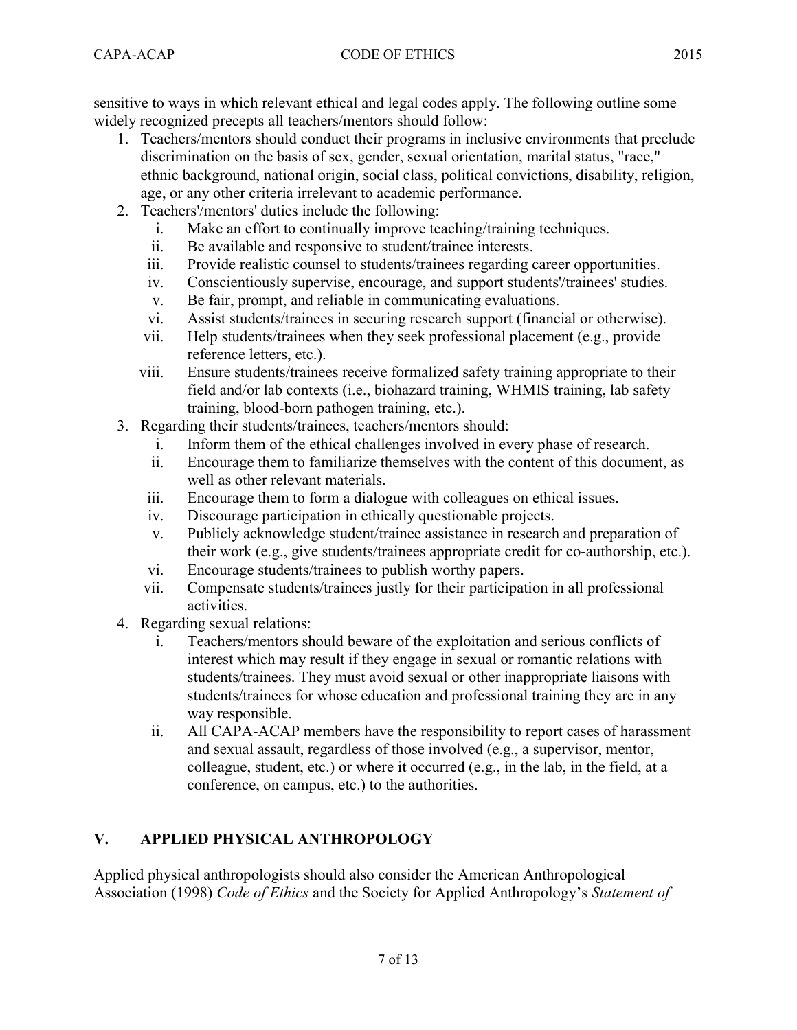sensitive to ways in which relevant ethical and legal codes apply. The following outline some widely recognized precepts all teachers/mentors should follow:

- 1. Teachers/mentors should conduct their programs in inclusive environments that preclude discrimination on the basis of sex, gender, sexual orientation, marital status, "race," ethnic background, national origin, social class, political convictions, disability, religion, age, or any other criteria irrelevant to academic performance.
- 2. Teachers'/mentors' duties include the following:
	- i. Make an effort to continually improve teaching/training techniques.
	- ii. Be available and responsive to student/trainee interests.
	- iii. Provide realistic counsel to students/trainees regarding career opportunities.
	- iv. Conscientiously supervise, encourage, and support students'/trainees' studies.
	- v. Be fair, prompt, and reliable in communicating evaluations.
	- vi. Assist students/trainees in securing research support (financial or otherwise).
	- vii. Help students/trainees when they seek professional placement (e.g., provide reference letters, etc.).
	- viii. Ensure students/trainees receive formalized safety training appropriate to their field and/or lab contexts (i.e., biohazard training, WHMIS training, lab safety training, blood-born pathogen training, etc.).
- 3. Regarding their students/trainees, teachers/mentors should:
	- i. Inform them of the ethical challenges involved in every phase of research.
	- ii. Encourage them to familiarize themselves with the content of this document, as well as other relevant materials.
	- iii. Encourage them to form a dialogue with colleagues on ethical issues.
	- iv. Discourage participation in ethically questionable projects.
	- v. Publicly acknowledge student/trainee assistance in research and preparation of their work (e.g., give students/trainees appropriate credit for co-authorship, etc.).
	- vi. Encourage students/trainees to publish worthy papers.
	- vii. Compensate students/trainees justly for their participation in all professional activities.
- 4. Regarding sexual relations:
	- i. Teachers/mentors should beware of the exploitation and serious conflicts of interest which may result if they engage in sexual or romantic relations with students/trainees. They must avoid sexual or other inappropriate liaisons with students/trainees for whose education and professional training they are in any way responsible.
	- ii. All CAPA-ACAP members have the responsibility to report cases of harassment and sexual assault, regardless of those involved (e.g., a supervisor, mentor, colleague, student, etc.) or where it occurred (e.g., in the lab, in the field, at a conference, on campus, etc.) to the authorities.

## V. APPLIED PHYSICAL ANTHROPOLOGY

Applied physical anthropologists should also consider the American Anthropological Association (1998) Code of Ethics and the Society for Applied Anthropology's Statement of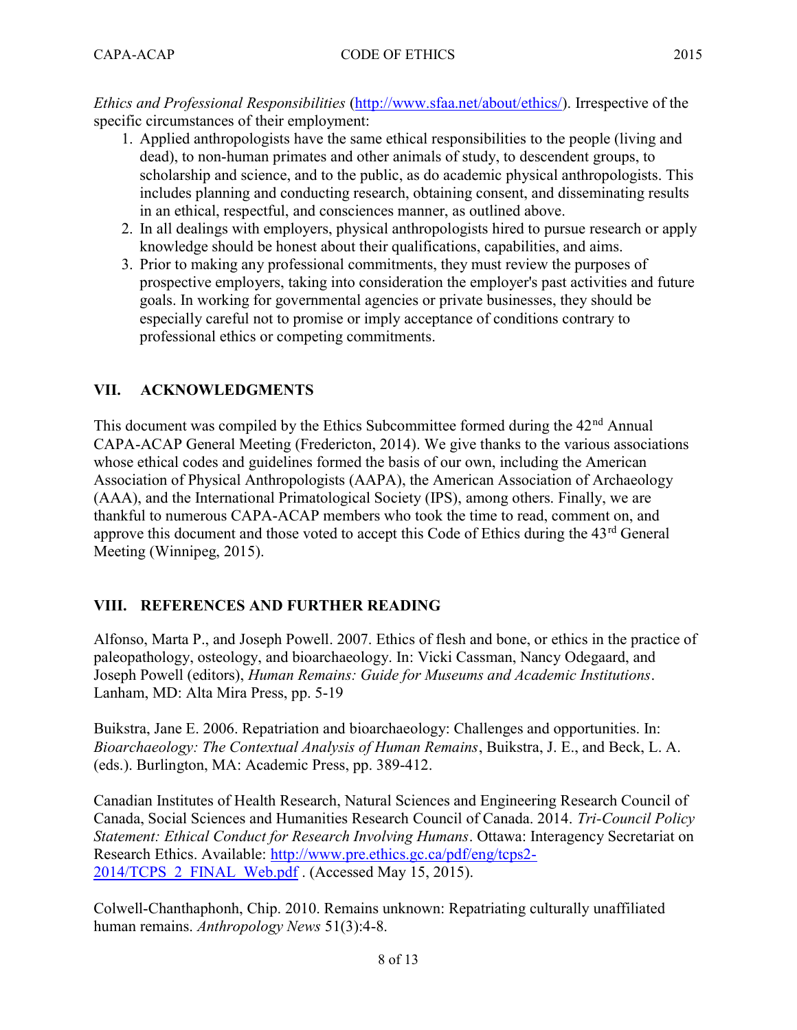Ethics and Professional Responsibilities (http://www.sfaa.net/about/ethics/). Irrespective of the specific circumstances of their employment:

- 1. Applied anthropologists have the same ethical responsibilities to the people (living and dead), to non-human primates and other animals of study, to descendent groups, to scholarship and science, and to the public, as do academic physical anthropologists. This includes planning and conducting research, obtaining consent, and disseminating results in an ethical, respectful, and consciences manner, as outlined above.
- 2. In all dealings with employers, physical anthropologists hired to pursue research or apply knowledge should be honest about their qualifications, capabilities, and aims.
- 3. Prior to making any professional commitments, they must review the purposes of prospective employers, taking into consideration the employer's past activities and future goals. In working for governmental agencies or private businesses, they should be especially careful not to promise or imply acceptance of conditions contrary to professional ethics or competing commitments.

## VII. ACKNOWLEDGMENTS

This document was compiled by the Ethics Subcommittee formed during the 42<sup>nd</sup> Annual CAPA-ACAP General Meeting (Fredericton, 2014). We give thanks to the various associations whose ethical codes and guidelines formed the basis of our own, including the American Association of Physical Anthropologists (AAPA), the American Association of Archaeology (AAA), and the International Primatological Society (IPS), among others. Finally, we are thankful to numerous CAPA-ACAP members who took the time to read, comment on, and approve this document and those voted to accept this Code of Ethics during the 43<sup>rd</sup> General Meeting (Winnipeg, 2015).

#### VIII. REFERENCES AND FURTHER READING

Alfonso, Marta P., and Joseph Powell. 2007. Ethics of flesh and bone, or ethics in the practice of paleopathology, osteology, and bioarchaeology. In: Vicki Cassman, Nancy Odegaard, and Joseph Powell (editors), Human Remains: Guide for Museums and Academic Institutions. Lanham, MD: Alta Mira Press, pp. 5-19

Buikstra, Jane E. 2006. Repatriation and bioarchaeology: Challenges and opportunities. In: Bioarchaeology: The Contextual Analysis of Human Remains, Buikstra, J. E., and Beck, L. A. (eds.). Burlington, MA: Academic Press, pp. 389-412.

Canadian Institutes of Health Research, Natural Sciences and Engineering Research Council of Canada, Social Sciences and Humanities Research Council of Canada. 2014. Tri-Council Policy Statement: Ethical Conduct for Research Involving Humans. Ottawa: Interagency Secretariat on Research Ethics. Available: http://www.pre.ethics.gc.ca/pdf/eng/tcps2- 2014/TCPS 2 FINAL Web.pdf . (Accessed May 15, 2015).

Colwell-Chanthaphonh, Chip. 2010. Remains unknown: Repatriating culturally unaffiliated human remains. Anthropology News 51(3):4-8.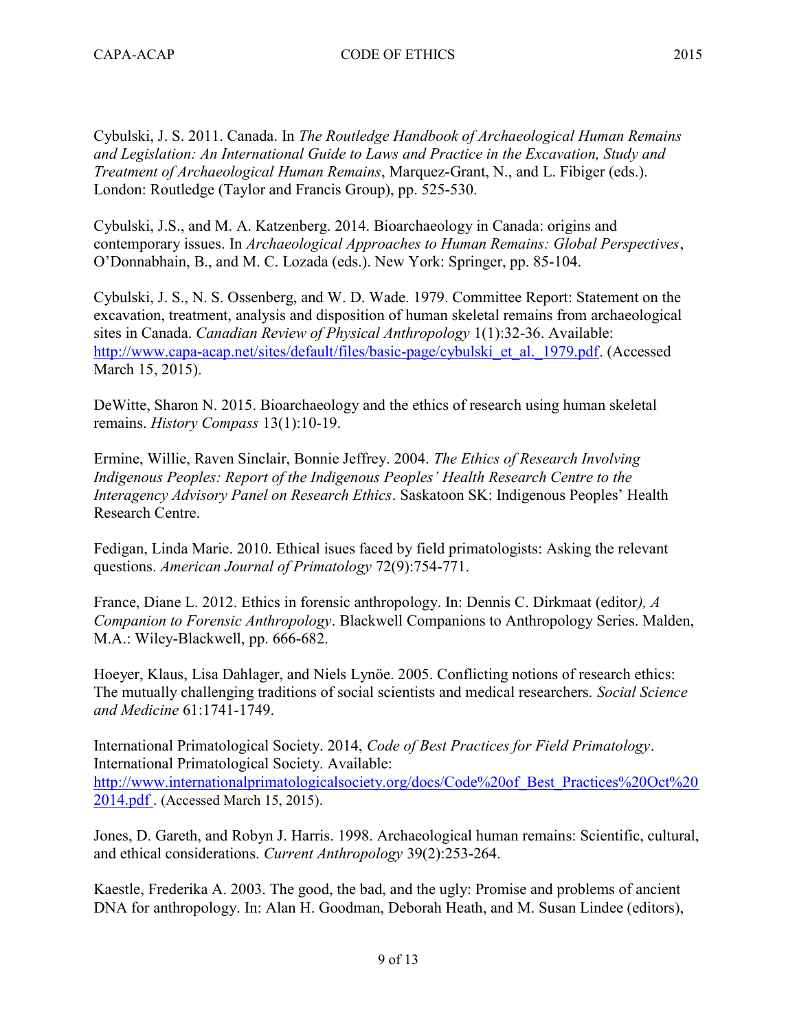Cybulski, J. S. 2011. Canada. In The Routledge Handbook of Archaeological Human Remains and Legislation: An International Guide to Laws and Practice in the Excavation, Study and Treatment of Archaeological Human Remains, Marquez-Grant, N., and L. Fibiger (eds.). London: Routledge (Taylor and Francis Group), pp. 525-530.

Cybulski, J.S., and M. A. Katzenberg. 2014. Bioarchaeology in Canada: origins and contemporary issues. In Archaeological Approaches to Human Remains: Global Perspectives, O'Donnabhain, B., and M. C. Lozada (eds.). New York: Springer, pp. 85-104.

Cybulski, J. S., N. S. Ossenberg, and W. D. Wade. 1979. Committee Report: Statement on the excavation, treatment, analysis and disposition of human skeletal remains from archaeological sites in Canada. Canadian Review of Physical Anthropology 1(1):32-36. Available: http://www.capa-acap.net/sites/default/files/basic-page/cybulski\_et\_al.\_1979.pdf. (Accessed March 15, 2015).

DeWitte, Sharon N. 2015. Bioarchaeology and the ethics of research using human skeletal remains. History Compass 13(1):10-19.

Ermine, Willie, Raven Sinclair, Bonnie Jeffrey. 2004. The Ethics of Research Involving Indigenous Peoples: Report of the Indigenous Peoples' Health Research Centre to the Interagency Advisory Panel on Research Ethics. Saskatoon SK: Indigenous Peoples' Health Research Centre.

Fedigan, Linda Marie. 2010. Ethical isues faced by field primatologists: Asking the relevant questions. American Journal of Primatology 72(9):754-771.

France, Diane L. 2012. Ethics in forensic anthropology. In: Dennis C. Dirkmaat (editor), A Companion to Forensic Anthropology. Blackwell Companions to Anthropology Series. Malden, M.A.: Wiley-Blackwell, pp. 666-682.

Hoeyer, Klaus, Lisa Dahlager, and Niels Lynöe. 2005. Conflicting notions of research ethics: The mutually challenging traditions of social scientists and medical researchers. Social Science and Medicine 61:1741-1749.

International Primatological Society. 2014, Code of Best Practices for Field Primatology. International Primatological Society. Available: http://www.internationalprimatologicalsociety.org/docs/Code%20of\_Best\_Practices%20Oct%20 2014.pdf . (Accessed March 15, 2015).

Jones, D. Gareth, and Robyn J. Harris. 1998. Archaeological human remains: Scientific, cultural, and ethical considerations. Current Anthropology 39(2):253-264.

Kaestle, Frederika A. 2003. The good, the bad, and the ugly: Promise and problems of ancient DNA for anthropology. In: Alan H. Goodman, Deborah Heath, and M. Susan Lindee (editors),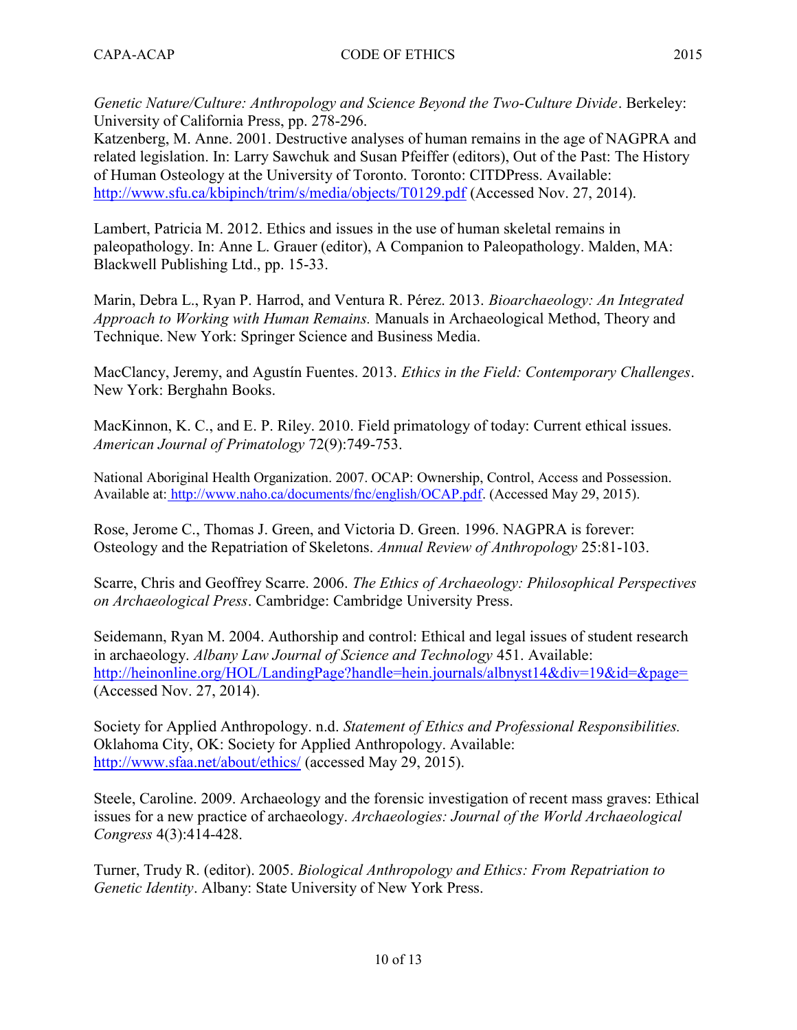Genetic Nature/Culture: Anthropology and Science Beyond the Two-Culture Divide. Berkeley: University of California Press, pp. 278-296.

Katzenberg, M. Anne. 2001. Destructive analyses of human remains in the age of NAGPRA and related legislation. In: Larry Sawchuk and Susan Pfeiffer (editors), Out of the Past: The History of Human Osteology at the University of Toronto. Toronto: CITDPress. Available: http://www.sfu.ca/kbipinch/trim/s/media/objects/T0129.pdf (Accessed Nov. 27, 2014).

Lambert, Patricia M. 2012. Ethics and issues in the use of human skeletal remains in paleopathology. In: Anne L. Grauer (editor), A Companion to Paleopathology. Malden, MA: Blackwell Publishing Ltd., pp. 15-33.

Marin, Debra L., Ryan P. Harrod, and Ventura R. Pérez. 2013. Bioarchaeology: An Integrated Approach to Working with Human Remains. Manuals in Archaeological Method, Theory and Technique. New York: Springer Science and Business Media.

MacClancy, Jeremy, and Agustín Fuentes. 2013. Ethics in the Field: Contemporary Challenges. New York: Berghahn Books.

MacKinnon, K. C., and E. P. Riley. 2010. Field primatology of today: Current ethical issues. American Journal of Primatology 72(9):749-753.

National Aboriginal Health Organization. 2007. OCAP: Ownership, Control, Access and Possession. Available at: http://www.naho.ca/documents/fnc/english/OCAP.pdf. (Accessed May 29, 2015).

Rose, Jerome C., Thomas J. Green, and Victoria D. Green. 1996. NAGPRA is forever: Osteology and the Repatriation of Skeletons. Annual Review of Anthropology 25:81-103.

Scarre, Chris and Geoffrey Scarre. 2006. The Ethics of Archaeology: Philosophical Perspectives on Archaeological Press. Cambridge: Cambridge University Press.

Seidemann, Ryan M. 2004. Authorship and control: Ethical and legal issues of student research in archaeology. Albany Law Journal of Science and Technology 451. Available: http://heinonline.org/HOL/LandingPage?handle=hein.journals/albnyst14&div=19&id=&page= (Accessed Nov. 27, 2014).

Society for Applied Anthropology. n.d. Statement of Ethics and Professional Responsibilities. Oklahoma City, OK: Society for Applied Anthropology. Available: http://www.sfaa.net/about/ethics/ (accessed May 29, 2015).

Steele, Caroline. 2009. Archaeology and the forensic investigation of recent mass graves: Ethical issues for a new practice of archaeology. Archaeologies: Journal of the World Archaeological Congress 4(3):414-428.

Turner, Trudy R. (editor). 2005. Biological Anthropology and Ethics: From Repatriation to Genetic Identity. Albany: State University of New York Press.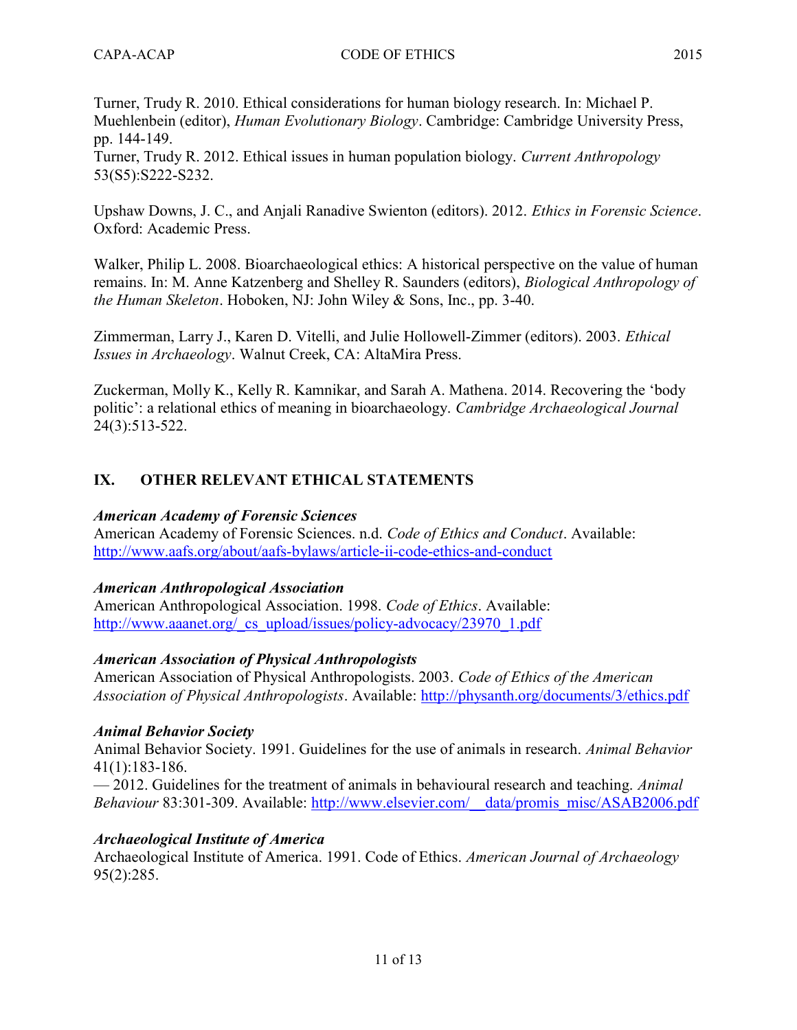Turner, Trudy R. 2010. Ethical considerations for human biology research. In: Michael P. Muehlenbein (editor), Human Evolutionary Biology. Cambridge: Cambridge University Press, pp. 144-149.

Turner, Trudy R. 2012. Ethical issues in human population biology. Current Anthropology 53(S5):S222-S232.

Upshaw Downs, J. C., and Anjali Ranadive Swienton (editors). 2012. Ethics in Forensic Science. Oxford: Academic Press.

Walker, Philip L. 2008. Bioarchaeological ethics: A historical perspective on the value of human remains. In: M. Anne Katzenberg and Shelley R. Saunders (editors), Biological Anthropology of the Human Skeleton. Hoboken, NJ: John Wiley & Sons, Inc., pp. 3-40.

Zimmerman, Larry J., Karen D. Vitelli, and Julie Hollowell-Zimmer (editors). 2003. Ethical Issues in Archaeology. Walnut Creek, CA: AltaMira Press.

Zuckerman, Molly K., Kelly R. Kamnikar, and Sarah A. Mathena. 2014. Recovering the 'body politic': a relational ethics of meaning in bioarchaeology. Cambridge Archaeological Journal 24(3):513-522.

## IX. OTHER RELEVANT ETHICAL STATEMENTS

#### American Academy of Forensic Sciences

American Academy of Forensic Sciences. n.d. Code of Ethics and Conduct. Available: http://www.aafs.org/about/aafs-bylaws/article-ii-code-ethics-and-conduct

#### American Anthropological Association

American Anthropological Association. 1998. Code of Ethics. Available: http://www.aaanet.org/\_cs\_upload/issues/policy-advocacy/23970\_1.pdf

#### American Association of Physical Anthropologists

American Association of Physical Anthropologists. 2003. Code of Ethics of the American Association of Physical Anthropologists. Available: http://physanth.org/documents/3/ethics.pdf

#### Animal Behavior Society

Animal Behavior Society. 1991. Guidelines for the use of animals in research. Animal Behavior 41(1):183-186.

— 2012. Guidelines for the treatment of animals in behavioural research and teaching. Animal Behaviour 83:301-309. Available: http://www.elsevier.com/\_\_data/promis\_misc/ASAB2006.pdf

## Archaeological Institute of America

Archaeological Institute of America. 1991. Code of Ethics. American Journal of Archaeology 95(2):285.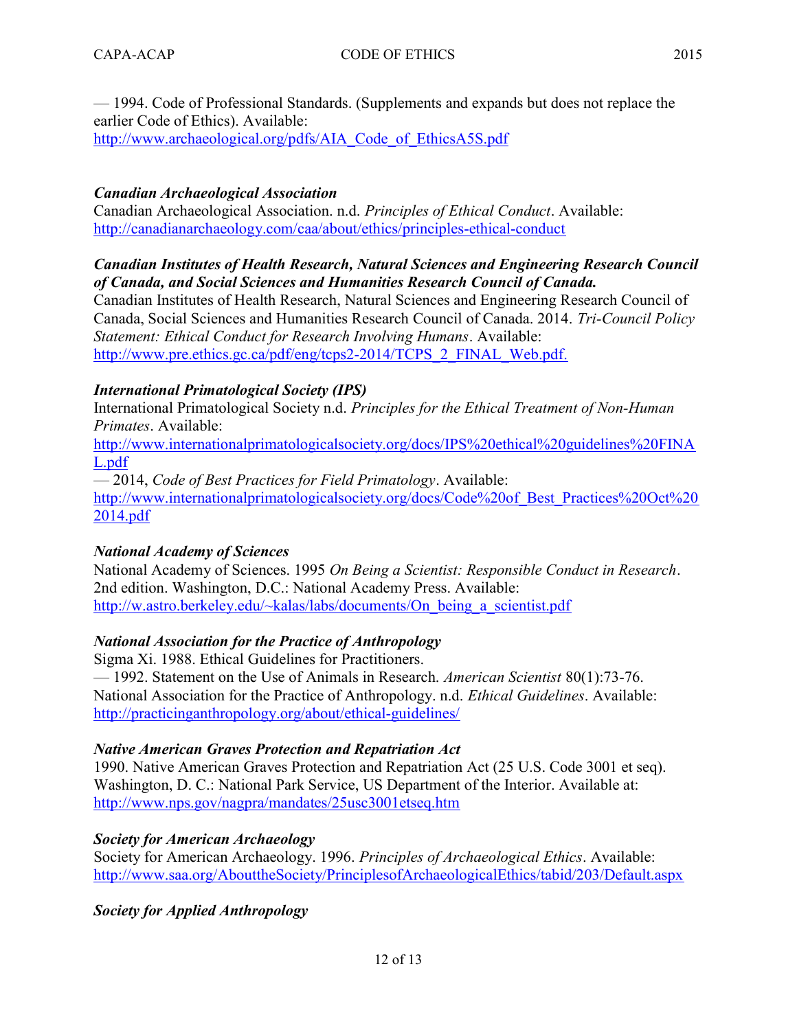— 1994. Code of Professional Standards. (Supplements and expands but does not replace the earlier Code of Ethics). Available:

http://www.archaeological.org/pdfs/AIA\_Code\_of\_EthicsA5S.pdf

## Canadian Archaeological Association

Canadian Archaeological Association. n.d. Principles of Ethical Conduct. Available: http://canadianarchaeology.com/caa/about/ethics/principles-ethical-conduct

## Canadian Institutes of Health Research, Natural Sciences and Engineering Research Council of Canada, and Social Sciences and Humanities Research Council of Canada.

Canadian Institutes of Health Research, Natural Sciences and Engineering Research Council of Canada, Social Sciences and Humanities Research Council of Canada. 2014. Tri-Council Policy Statement: Ethical Conduct for Research Involving Humans. Available: http://www.pre.ethics.gc.ca/pdf/eng/tcps2-2014/TCPS\_2\_FINAL\_Web.pdf.

## International Primatological Society (IPS)

International Primatological Society n.d. Principles for the Ethical Treatment of Non-Human Primates. Available:

http://www.internationalprimatologicalsociety.org/docs/IPS%20ethical%20guidelines%20FINA L.pdf

— 2014, Code of Best Practices for Field Primatology. Available: http://www.internationalprimatologicalsociety.org/docs/Code%20of\_Best\_Practices%20Oct%20 2014.pdf

# National Academy of Sciences

National Academy of Sciences. 1995 On Being a Scientist: Responsible Conduct in Research. 2nd edition. Washington, D.C.: National Academy Press. Available: http://w.astro.berkeley.edu/~kalas/labs/documents/On\_being\_a\_scientist.pdf

## National Association for the Practice of Anthropology

Sigma Xi. 1988. Ethical Guidelines for Practitioners. — 1992. Statement on the Use of Animals in Research. American Scientist 80(1):73-76. National Association for the Practice of Anthropology. n.d. Ethical Guidelines. Available: http://practicinganthropology.org/about/ethical-guidelines/

## Native American Graves Protection and Repatriation Act

1990. Native American Graves Protection and Repatriation Act (25 U.S. Code 3001 et seq). Washington, D. C.: National Park Service, US Department of the Interior. Available at: http://www.nps.gov/nagpra/mandates/25usc3001etseq.htm

## Society for American Archaeology

Society for American Archaeology. 1996. Principles of Archaeological Ethics. Available: http://www.saa.org/AbouttheSociety/PrinciplesofArchaeologicalEthics/tabid/203/Default.aspx

Society for Applied Anthropology